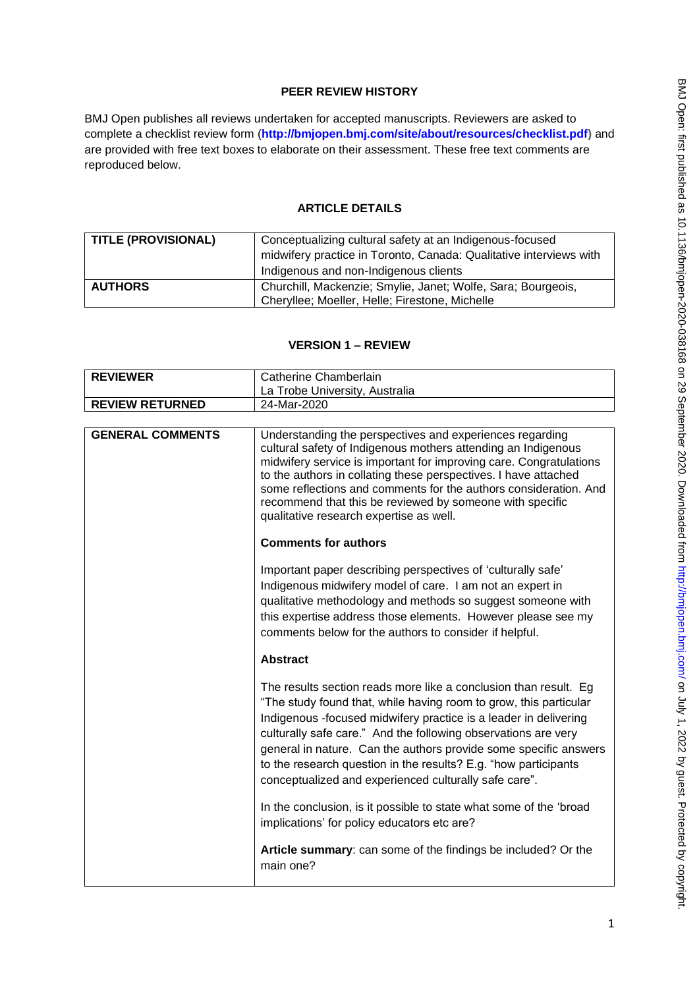# **PEER REVIEW HISTORY**

BMJ Open publishes all reviews undertaken for accepted manuscripts. Reviewers are asked to complete a checklist review form (**[http://bmjopen.bmj.com/site/about/resources/checklist.pdf\)](http://bmjopen.bmj.com/site/about/resources/checklist.pdf)** and are provided with free text boxes to elaborate on their assessment. These free text comments are reproduced below.

## **ARTICLE DETAILS**

| <b>TITLE (PROVISIONAL)</b> | Conceptualizing cultural safety at an Indigenous-focused<br>midwifery practice in Toronto, Canada: Qualitative interviews with |
|----------------------------|--------------------------------------------------------------------------------------------------------------------------------|
|                            | Indigenous and non-Indigenous clients                                                                                          |
| <b>AUTHORS</b>             | Churchill, Mackenzie; Smylie, Janet; Wolfe, Sara; Bourgeois,<br>Cheryllee; Moeller, Helle; Firestone, Michelle                 |

## **VERSION 1 – REVIEW**

| <b>REVIEWER</b>         | Catherine Chamberlain                                                                                                                                                                                                                                                                                                                                                                                                                                                       |
|-------------------------|-----------------------------------------------------------------------------------------------------------------------------------------------------------------------------------------------------------------------------------------------------------------------------------------------------------------------------------------------------------------------------------------------------------------------------------------------------------------------------|
|                         | La Trobe University, Australia                                                                                                                                                                                                                                                                                                                                                                                                                                              |
| <b>REVIEW RETURNED</b>  | 24-Mar-2020                                                                                                                                                                                                                                                                                                                                                                                                                                                                 |
|                         |                                                                                                                                                                                                                                                                                                                                                                                                                                                                             |
| <b>GENERAL COMMENTS</b> | Understanding the perspectives and experiences regarding<br>cultural safety of Indigenous mothers attending an Indigenous<br>midwifery service is important for improving care. Congratulations<br>to the authors in collating these perspectives. I have attached<br>some reflections and comments for the authors consideration. And<br>recommend that this be reviewed by someone with specific<br>qualitative research expertise as well.                               |
|                         | <b>Comments for authors</b>                                                                                                                                                                                                                                                                                                                                                                                                                                                 |
|                         | Important paper describing perspectives of 'culturally safe'<br>Indigenous midwifery model of care. I am not an expert in<br>qualitative methodology and methods so suggest someone with<br>this expertise address those elements. However please see my<br>comments below for the authors to consider if helpful.                                                                                                                                                          |
|                         | <b>Abstract</b>                                                                                                                                                                                                                                                                                                                                                                                                                                                             |
|                         | The results section reads more like a conclusion than result. Eg<br>"The study found that, while having room to grow, this particular<br>Indigenous -focused midwifery practice is a leader in delivering<br>culturally safe care." And the following observations are very<br>general in nature. Can the authors provide some specific answers<br>to the research question in the results? E.g. "how participants<br>conceptualized and experienced culturally safe care". |
|                         | In the conclusion, is it possible to state what some of the 'broad<br>implications' for policy educators etc are?                                                                                                                                                                                                                                                                                                                                                           |
|                         | Article summary: can some of the findings be included? Or the<br>main one?                                                                                                                                                                                                                                                                                                                                                                                                  |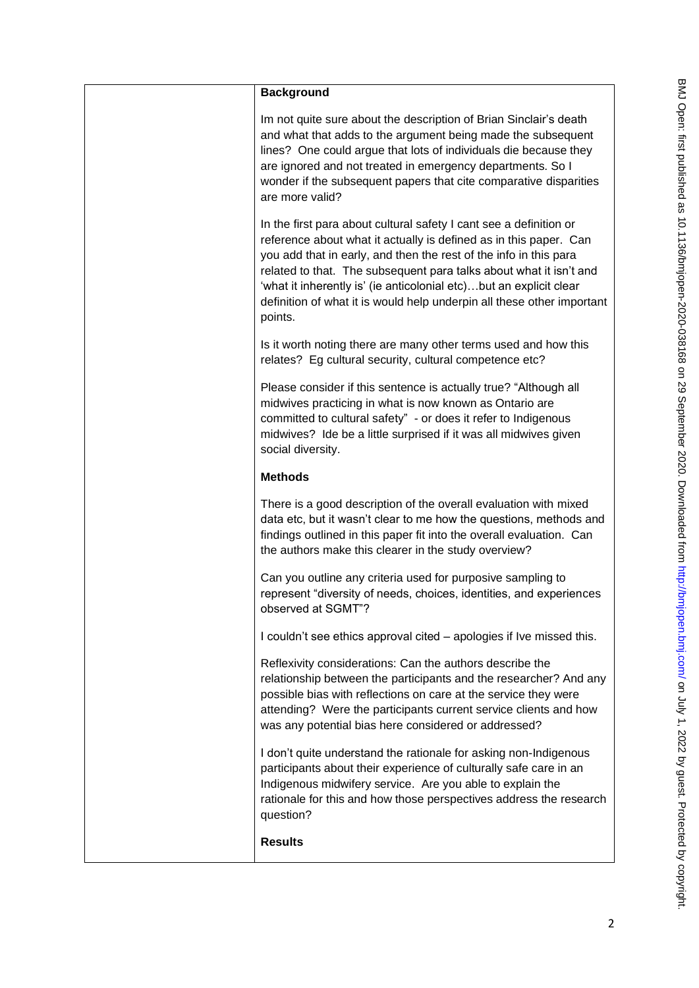| <b>Background</b>                                                                                                                                                                                                                                                                                                                                                                                                                             |
|-----------------------------------------------------------------------------------------------------------------------------------------------------------------------------------------------------------------------------------------------------------------------------------------------------------------------------------------------------------------------------------------------------------------------------------------------|
| Im not quite sure about the description of Brian Sinclair's death<br>and what that adds to the argument being made the subsequent<br>lines? One could argue that lots of individuals die because they<br>are ignored and not treated in emergency departments. So I<br>wonder if the subsequent papers that cite comparative disparities<br>are more valid?                                                                                   |
| In the first para about cultural safety I cant see a definition or<br>reference about what it actually is defined as in this paper. Can<br>you add that in early, and then the rest of the info in this para<br>related to that. The subsequent para talks about what it isn't and<br>'what it inherently is' (ie anticolonial etc)but an explicit clear<br>definition of what it is would help underpin all these other important<br>points. |
| Is it worth noting there are many other terms used and how this<br>relates? Eg cultural security, cultural competence etc?                                                                                                                                                                                                                                                                                                                    |
| Please consider if this sentence is actually true? "Although all<br>midwives practicing in what is now known as Ontario are<br>committed to cultural safety" - or does it refer to Indigenous<br>midwives? Ide be a little surprised if it was all midwives given<br>social diversity.                                                                                                                                                        |
| <b>Methods</b>                                                                                                                                                                                                                                                                                                                                                                                                                                |
| There is a good description of the overall evaluation with mixed<br>data etc, but it wasn't clear to me how the questions, methods and<br>findings outlined in this paper fit into the overall evaluation. Can<br>the authors make this clearer in the study overview?                                                                                                                                                                        |
| Can you outline any criteria used for purposive sampling to<br>represent "diversity of needs, choices, identities, and experiences<br>observed at SGMT"?                                                                                                                                                                                                                                                                                      |
| I couldn't see ethics approval cited – apologies if Ive missed this.                                                                                                                                                                                                                                                                                                                                                                          |
| Reflexivity considerations: Can the authors describe the<br>relationship between the participants and the researcher? And any<br>possible bias with reflections on care at the service they were<br>attending? Were the participants current service clients and how<br>was any potential bias here considered or addressed?                                                                                                                  |
| I don't quite understand the rationale for asking non-Indigenous<br>participants about their experience of culturally safe care in an<br>Indigenous midwifery service. Are you able to explain the<br>rationale for this and how those perspectives address the research<br>question?                                                                                                                                                         |
| <b>Results</b>                                                                                                                                                                                                                                                                                                                                                                                                                                |
|                                                                                                                                                                                                                                                                                                                                                                                                                                               |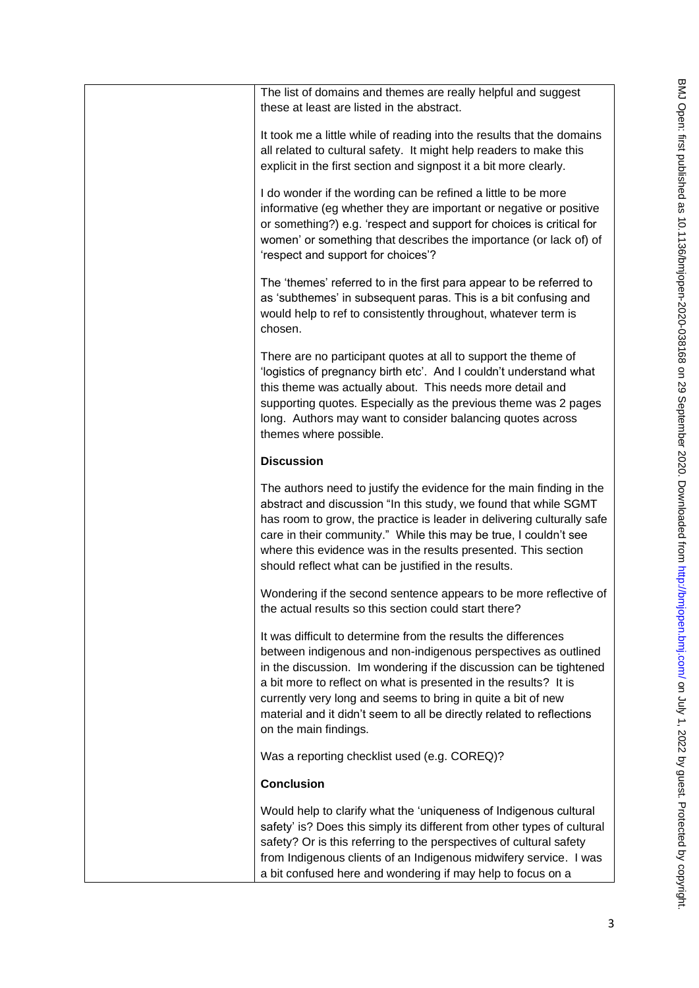| The list of domains and themes are really helpful and suggest<br>these at least are listed in the abstract.                                                                                                                                                                                                                                                                                                                                  |
|----------------------------------------------------------------------------------------------------------------------------------------------------------------------------------------------------------------------------------------------------------------------------------------------------------------------------------------------------------------------------------------------------------------------------------------------|
| It took me a little while of reading into the results that the domains<br>all related to cultural safety. It might help readers to make this<br>explicit in the first section and signpost it a bit more clearly.                                                                                                                                                                                                                            |
| I do wonder if the wording can be refined a little to be more<br>informative (eg whether they are important or negative or positive<br>or something?) e.g. 'respect and support for choices is critical for<br>women' or something that describes the importance (or lack of) of<br>'respect and support for choices'?                                                                                                                       |
| The 'themes' referred to in the first para appear to be referred to<br>as 'subthemes' in subsequent paras. This is a bit confusing and<br>would help to ref to consistently throughout, whatever term is<br>chosen.                                                                                                                                                                                                                          |
| There are no participant quotes at all to support the theme of<br>'logistics of pregnancy birth etc'. And I couldn't understand what<br>this theme was actually about. This needs more detail and<br>supporting quotes. Especially as the previous theme was 2 pages<br>long. Authors may want to consider balancing quotes across<br>themes where possible.                                                                                 |
| <b>Discussion</b>                                                                                                                                                                                                                                                                                                                                                                                                                            |
| The authors need to justify the evidence for the main finding in the<br>abstract and discussion "In this study, we found that while SGMT<br>has room to grow, the practice is leader in delivering culturally safe<br>care in their community." While this may be true, I couldn't see<br>where this evidence was in the results presented. This section<br>should reflect what can be justified in the results.                             |
| Wondering if the second sentence appears to be more reflective of<br>the actual results so this section could start there?                                                                                                                                                                                                                                                                                                                   |
| It was difficult to determine from the results the differences<br>between indigenous and non-indigenous perspectives as outlined<br>in the discussion. Im wondering if the discussion can be tightened<br>a bit more to reflect on what is presented in the results? It is<br>currently very long and seems to bring in quite a bit of new<br>material and it didn't seem to all be directly related to reflections<br>on the main findings. |
| Was a reporting checklist used (e.g. COREQ)?                                                                                                                                                                                                                                                                                                                                                                                                 |
| <b>Conclusion</b>                                                                                                                                                                                                                                                                                                                                                                                                                            |
| Would help to clarify what the 'uniqueness of Indigenous cultural<br>safety' is? Does this simply its different from other types of cultural<br>safety? Or is this referring to the perspectives of cultural safety<br>from Indigenous clients of an Indigenous midwifery service. I was<br>a bit confused here and wondering if may help to focus on a                                                                                      |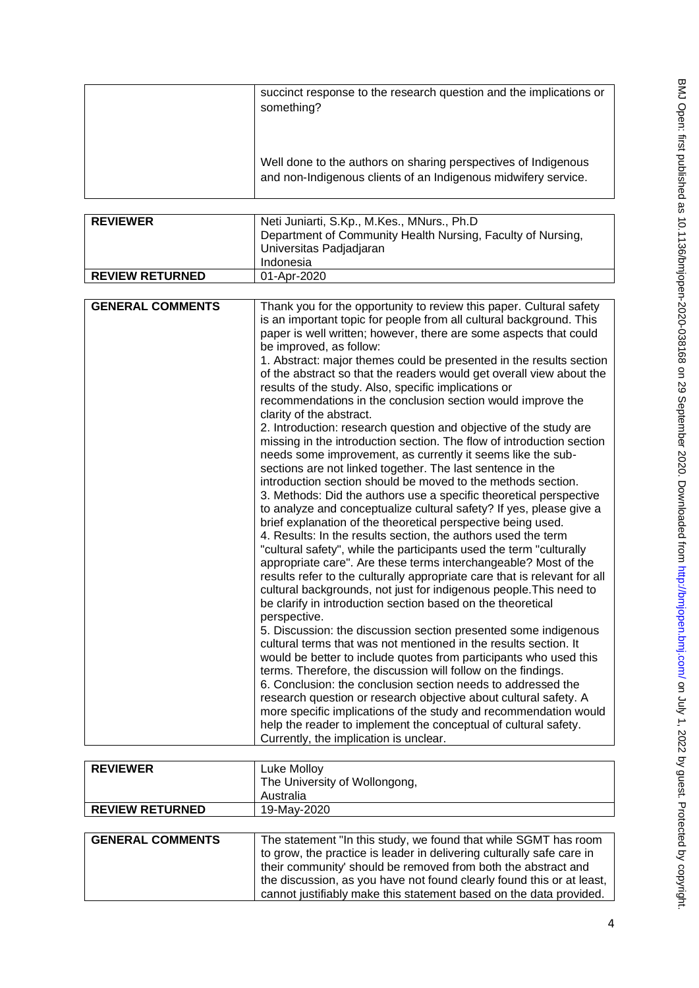| succinct response to the research question and the implications or<br>something?                                                 |
|----------------------------------------------------------------------------------------------------------------------------------|
| Well done to the authors on sharing perspectives of Indigenous<br>and non-Indigenous clients of an Indigenous midwifery service. |

| <b>REVIEWER</b>         | Neti Juniarti, S.Kp., M.Kes., MNurs., Ph.D<br>Department of Community Health Nursing, Faculty of Nursing,                                                                                                                                                                                                                                                                                                                                                                                                                                                                                                                                                                                                                                                                                                                                                                                                                                                                                                                                                                                                                                                                                                                                                                                                                                                                                                                                                          |
|-------------------------|--------------------------------------------------------------------------------------------------------------------------------------------------------------------------------------------------------------------------------------------------------------------------------------------------------------------------------------------------------------------------------------------------------------------------------------------------------------------------------------------------------------------------------------------------------------------------------------------------------------------------------------------------------------------------------------------------------------------------------------------------------------------------------------------------------------------------------------------------------------------------------------------------------------------------------------------------------------------------------------------------------------------------------------------------------------------------------------------------------------------------------------------------------------------------------------------------------------------------------------------------------------------------------------------------------------------------------------------------------------------------------------------------------------------------------------------------------------------|
|                         | Universitas Padjadjaran                                                                                                                                                                                                                                                                                                                                                                                                                                                                                                                                                                                                                                                                                                                                                                                                                                                                                                                                                                                                                                                                                                                                                                                                                                                                                                                                                                                                                                            |
|                         | Indonesia                                                                                                                                                                                                                                                                                                                                                                                                                                                                                                                                                                                                                                                                                                                                                                                                                                                                                                                                                                                                                                                                                                                                                                                                                                                                                                                                                                                                                                                          |
| <b>REVIEW RETURNED</b>  | 01-Apr-2020                                                                                                                                                                                                                                                                                                                                                                                                                                                                                                                                                                                                                                                                                                                                                                                                                                                                                                                                                                                                                                                                                                                                                                                                                                                                                                                                                                                                                                                        |
|                         |                                                                                                                                                                                                                                                                                                                                                                                                                                                                                                                                                                                                                                                                                                                                                                                                                                                                                                                                                                                                                                                                                                                                                                                                                                                                                                                                                                                                                                                                    |
| <b>GENERAL COMMENTS</b> | Thank you for the opportunity to review this paper. Cultural safety<br>is an important topic for people from all cultural background. This<br>paper is well written; however, there are some aspects that could<br>be improved, as follow:<br>1. Abstract: major themes could be presented in the results section<br>of the abstract so that the readers would get overall view about the<br>results of the study. Also, specific implications or<br>recommendations in the conclusion section would improve the<br>clarity of the abstract.<br>2. Introduction: research question and objective of the study are<br>missing in the introduction section. The flow of introduction section<br>needs some improvement, as currently it seems like the sub-<br>sections are not linked together. The last sentence in the<br>introduction section should be moved to the methods section.<br>3. Methods: Did the authors use a specific theoretical perspective<br>to analyze and conceptualize cultural safety? If yes, please give a<br>brief explanation of the theoretical perspective being used.<br>4. Results: In the results section, the authors used the term<br>"cultural safety", while the participants used the term "culturally<br>appropriate care". Are these terms interchangeable? Most of the<br>results refer to the culturally appropriate care that is relevant for all<br>cultural backgrounds, not just for indigenous people. This need to |
|                         | be clarify in introduction section based on the theoretical<br>perspective.<br>5. Discussion: the discussion section presented some indigenous                                                                                                                                                                                                                                                                                                                                                                                                                                                                                                                                                                                                                                                                                                                                                                                                                                                                                                                                                                                                                                                                                                                                                                                                                                                                                                                     |
|                         | cultural terms that was not mentioned in the results section. It                                                                                                                                                                                                                                                                                                                                                                                                                                                                                                                                                                                                                                                                                                                                                                                                                                                                                                                                                                                                                                                                                                                                                                                                                                                                                                                                                                                                   |
|                         | would be better to include quotes from participants who used this                                                                                                                                                                                                                                                                                                                                                                                                                                                                                                                                                                                                                                                                                                                                                                                                                                                                                                                                                                                                                                                                                                                                                                                                                                                                                                                                                                                                  |
|                         | terms. Therefore, the discussion will follow on the findings.                                                                                                                                                                                                                                                                                                                                                                                                                                                                                                                                                                                                                                                                                                                                                                                                                                                                                                                                                                                                                                                                                                                                                                                                                                                                                                                                                                                                      |
|                         | 6. Conclusion: the conclusion section needs to addressed the                                                                                                                                                                                                                                                                                                                                                                                                                                                                                                                                                                                                                                                                                                                                                                                                                                                                                                                                                                                                                                                                                                                                                                                                                                                                                                                                                                                                       |
|                         | research question or research objective about cultural safety. A                                                                                                                                                                                                                                                                                                                                                                                                                                                                                                                                                                                                                                                                                                                                                                                                                                                                                                                                                                                                                                                                                                                                                                                                                                                                                                                                                                                                   |
|                         | more specific implications of the study and recommendation would                                                                                                                                                                                                                                                                                                                                                                                                                                                                                                                                                                                                                                                                                                                                                                                                                                                                                                                                                                                                                                                                                                                                                                                                                                                                                                                                                                                                   |
|                         | help the reader to implement the conceptual of cultural safety.<br>Currently, the implication is unclear.                                                                                                                                                                                                                                                                                                                                                                                                                                                                                                                                                                                                                                                                                                                                                                                                                                                                                                                                                                                                                                                                                                                                                                                                                                                                                                                                                          |
|                         |                                                                                                                                                                                                                                                                                                                                                                                                                                                                                                                                                                                                                                                                                                                                                                                                                                                                                                                                                                                                                                                                                                                                                                                                                                                                                                                                                                                                                                                                    |

| <b>REVIEWER</b>         | Luke Molloy                                                           |
|-------------------------|-----------------------------------------------------------------------|
|                         | The University of Wollongong,                                         |
|                         | Australia                                                             |
| <b>REVIEW RETURNED</b>  | 19-May-2020                                                           |
|                         |                                                                       |
| <b>GENERAL COMMENTS</b> | The statement "In this study, we found that while SGMT has room       |
|                         | to grow, the practice is leader in delivering culturally safe care in |
|                         | their community' should be removed from both the abstract and         |
|                         | the discussion, as you have not found clearly found this or at least, |
|                         | cannot justifiably make this statement based on the data provided.    |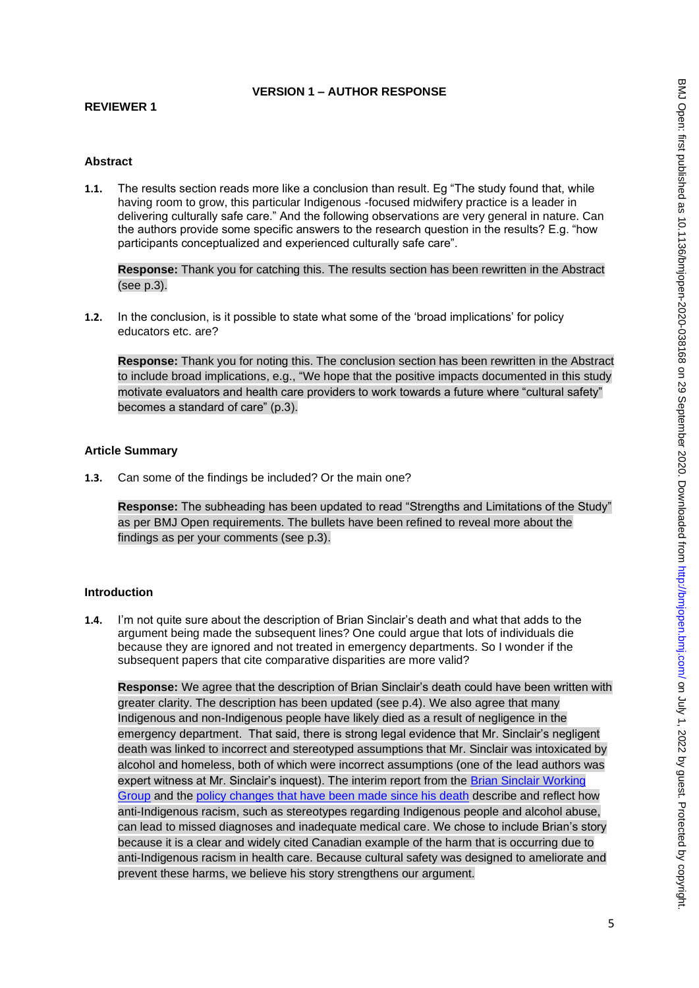### **VERSION 1 – AUTHOR RESPONSE**

#### **REVIEWER 1**

### **Abstract**

**1.1.** The results section reads more like a conclusion than result. Eg "The study found that, while having room to grow, this particular Indigenous -focused midwifery practice is a leader in delivering culturally safe care." And the following observations are very general in nature. Can the authors provide some specific answers to the research question in the results? E.g. "how participants conceptualized and experienced culturally safe care".

**Response:** Thank you for catching this. The results section has been rewritten in the Abstract (see p.3).

**1.2.** In the conclusion, is it possible to state what some of the 'broad implications' for policy educators etc. are?

**Response:** Thank you for noting this. The conclusion section has been rewritten in the Abstract to include broad implications, e.g., "We hope that the positive impacts documented in this study motivate evaluators and health care providers to work towards a future where "cultural safety" becomes a standard of care" (p.3).

#### **Article Summary**

**1.3.** Can some of the findings be included? Or the main one?

**Response:** The subheading has been updated to read "Strengths and Limitations of the Study" as per BMJ Open requirements. The bullets have been refined to reveal more about the findings as per your comments (see p.3).

#### **Introduction**

**1.4.** I'm not quite sure about the description of Brian Sinclair's death and what that adds to the argument being made the subsequent lines? One could argue that lots of individuals die because they are ignored and not treated in emergency departments. So I wonder if the subsequent papers that cite comparative disparities are more valid?

**Response:** We agree that the description of Brian Sinclair's death could have been written with greater clarity. The description has been updated (see p.4). We also agree that many Indigenous and non-Indigenous people have likely died as a result of negligence in the emergency department. That said, there is strong legal evidence that Mr. Sinclair's negligent death was linked to incorrect and stereotyped assumptions that Mr. Sinclair was intoxicated by alcohol and homeless, both of which were incorrect assumptions (one of the lead authors was expert witness at Mr. Sinclair's inquest). The interim report from the [Brian Sinclair Working](https://www.dropbox.com/s/wxf3v5uh2pun0pf/Out%20of%20Sight%20Final.pdf?dl=0)  [Group](https://www.dropbox.com/s/wxf3v5uh2pun0pf/Out%20of%20Sight%20Final.pdf?dl=0) and the [policy changes that have been made since his death](https://www.cbc.ca/news/canada/manitoba/brian-sinclair-inquest-manitoba-ombudsman-1.5073895) describe and reflect how anti-Indigenous racism, such as stereotypes regarding Indigenous people and alcohol abuse, can lead to missed diagnoses and inadequate medical care. We chose to include Brian's story because it is a clear and widely cited Canadian example of the harm that is occurring due to anti-Indigenous racism in health care. Because cultural safety was designed to ameliorate and prevent these harms, we believe his story strengthens our argument.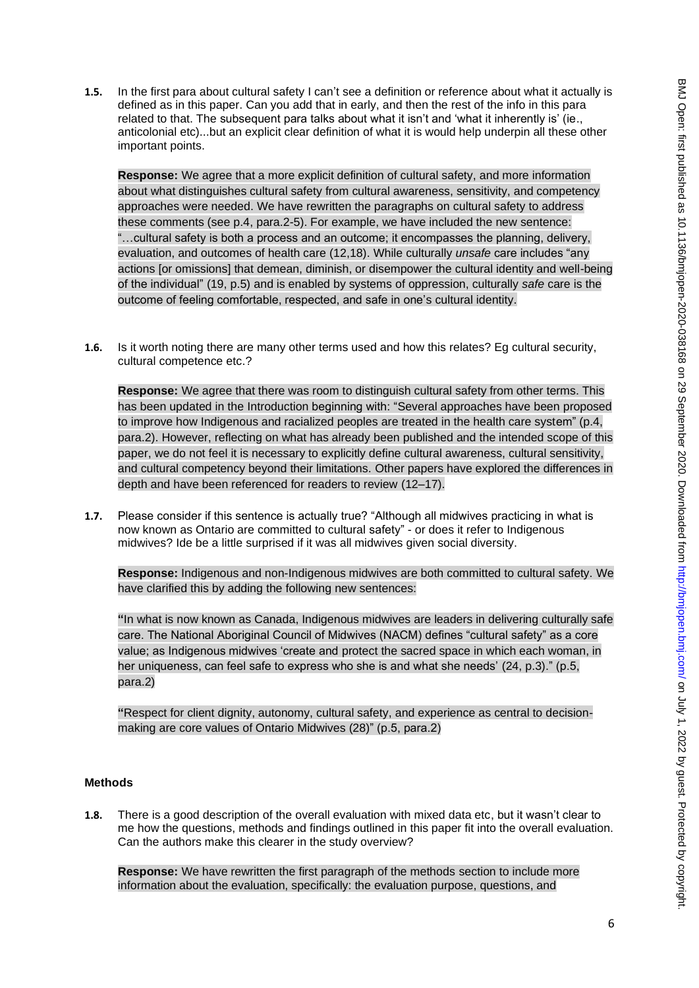**1.5.** In the first para about cultural safety I can't see a definition or reference about what it actually is defined as in this paper. Can you add that in early, and then the rest of the info in this para related to that. The subsequent para talks about what it isn't and 'what it inherently is' (ie., anticolonial etc)...but an explicit clear definition of what it is would help underpin all these other important points.

**Response:** We agree that a more explicit definition of cultural safety, and more information about what distinguishes cultural safety from cultural awareness, sensitivity, and competency approaches were needed. We have rewritten the paragraphs on cultural safety to address these comments (see p.4, para.2-5). For example, we have included the new sentence: "…cultural safety is both a process and an outcome; it encompasses the planning, delivery, evaluation, and outcomes of health care (12,18). While culturally *unsafe* care includes "any actions [or omissions] that demean, diminish, or disempower the cultural identity and well-being of the individual" (19, p.5) and is enabled by systems of oppression, culturally *safe* care is the outcome of feeling comfortable, respected, and safe in one's cultural identity.

**1.6.** Is it worth noting there are many other terms used and how this relates? Eg cultural security, cultural competence etc.?

**Response:** We agree that there was room to distinguish cultural safety from other terms. This has been updated in the Introduction beginning with: "Several approaches have been proposed to improve how Indigenous and racialized peoples are treated in the health care system" (p.4, para.2). However, reflecting on what has already been published and the intended scope of this paper, we do not feel it is necessary to explicitly define cultural awareness, cultural sensitivity, and cultural competency beyond their limitations. Other papers have explored the differences in depth and have been referenced for readers to review (12–17).

**1.7.** Please consider if this sentence is actually true? "Although all midwives practicing in what is now known as Ontario are committed to cultural safety" - or does it refer to Indigenous midwives? Ide be a little surprised if it was all midwives given social diversity.

**Response:** Indigenous and non-Indigenous midwives are both committed to cultural safety. We have clarified this by adding the following new sentences:

**"**In what is now known as Canada, Indigenous midwives are leaders in delivering culturally safe care. The National Aboriginal Council of Midwives (NACM) defines "cultural safety" as a core value; as Indigenous midwives 'create and protect the sacred space in which each woman, in her uniqueness, can feel safe to express who she is and what she needs' (24, p.3)." (p.5, para.2)

**"**Respect for client dignity, autonomy, cultural safety, and experience as central to decisionmaking are core values of Ontario Midwives (28)" (p.5, para.2)

### **Methods**

**1.8.** There is a good description of the overall evaluation with mixed data etc, but it wasn't clear to me how the questions, methods and findings outlined in this paper fit into the overall evaluation. Can the authors make this clearer in the study overview?

**Response:** We have rewritten the first paragraph of the methods section to include more information about the evaluation, specifically: the evaluation purpose, questions, and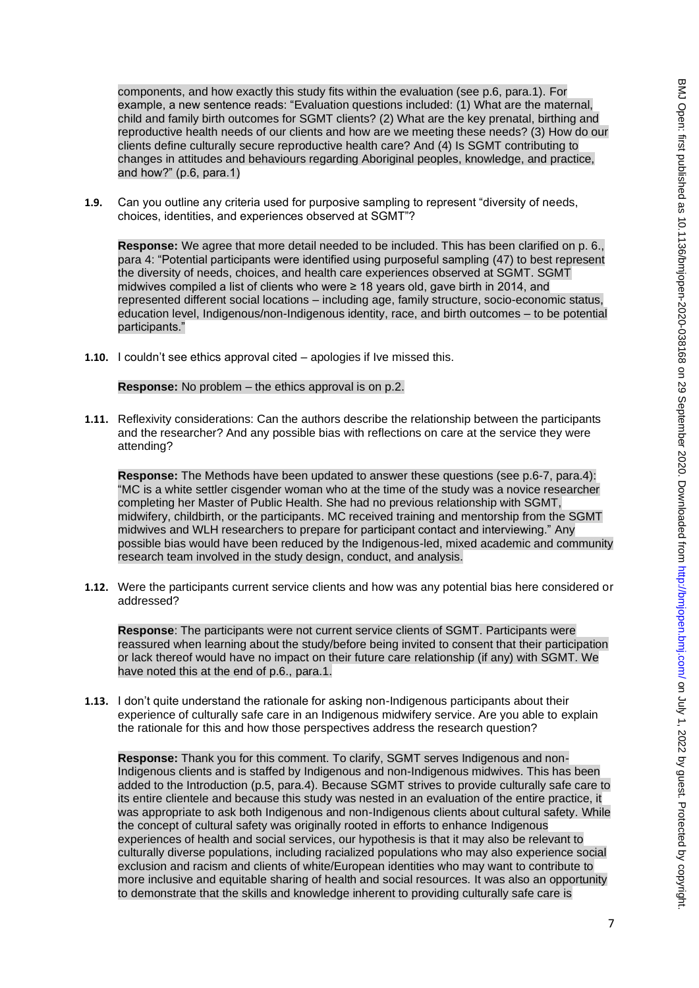components, and how exactly this study fits within the evaluation (see p.6, para.1). For example, a new sentence reads: "Evaluation questions included: (1) What are the maternal, child and family birth outcomes for SGMT clients? (2) What are the key prenatal, birthing and reproductive health needs of our clients and how are we meeting these needs? (3) How do our clients define culturally secure reproductive health care? And (4) Is SGMT contributing to changes in attitudes and behaviours regarding Aboriginal peoples, knowledge, and practice, and how?" (p.6, para.1)

**1.9.** Can you outline any criteria used for purposive sampling to represent "diversity of needs, choices, identities, and experiences observed at SGMT"?

**Response:** We agree that more detail needed to be included. This has been clarified on p. 6., para 4: "Potential participants were identified using purposeful sampling (47) to best represent the diversity of needs, choices, and health care experiences observed at SGMT. SGMT midwives compiled a list of clients who were ≥ 18 years old, gave birth in 2014, and represented different social locations – including age, family structure, socio-economic status, education level, Indigenous/non-Indigenous identity, race, and birth outcomes – to be potential participants."

**1.10.** I couldn't see ethics approval cited – apologies if Ive missed this.

**Response:** No problem – the ethics approval is on p.2.

**1.11.** Reflexivity considerations: Can the authors describe the relationship between the participants and the researcher? And any possible bias with reflections on care at the service they were attending?

**Response:** The Methods have been updated to answer these questions (see p.6-7, para.4): "MC is a white settler cisgender woman who at the time of the study was a novice researcher completing her Master of Public Health. She had no previous relationship with SGMT, midwifery, childbirth, or the participants. MC received training and mentorship from the SGMT midwives and WLH researchers to prepare for participant contact and interviewing." Any possible bias would have been reduced by the Indigenous-led, mixed academic and community research team involved in the study design, conduct, and analysis.

**1.12.** Were the participants current service clients and how was any potential bias here considered or addressed?

**Response**: The participants were not current service clients of SGMT. Participants were reassured when learning about the study/before being invited to consent that their participation or lack thereof would have no impact on their future care relationship (if any) with SGMT. We have noted this at the end of p.6., para.1.

**1.13.** I don't quite understand the rationale for asking non-Indigenous participants about their experience of culturally safe care in an Indigenous midwifery service. Are you able to explain the rationale for this and how those perspectives address the research question?

**Response:** Thank you for this comment. To clarify, SGMT serves Indigenous and non-Indigenous clients and is staffed by Indigenous and non-Indigenous midwives. This has been added to the Introduction (p.5, para.4). Because SGMT strives to provide culturally safe care to its entire clientele and because this study was nested in an evaluation of the entire practice, it was appropriate to ask both Indigenous and non-Indigenous clients about cultural safety. While the concept of cultural safety was originally rooted in efforts to enhance Indigenous experiences of health and social services, our hypothesis is that it may also be relevant to culturally diverse populations, including racialized populations who may also experience social exclusion and racism and clients of white/European identities who may want to contribute to more inclusive and equitable sharing of health and social resources. It was also an opportunity to demonstrate that the skills and knowledge inherent to providing culturally safe care is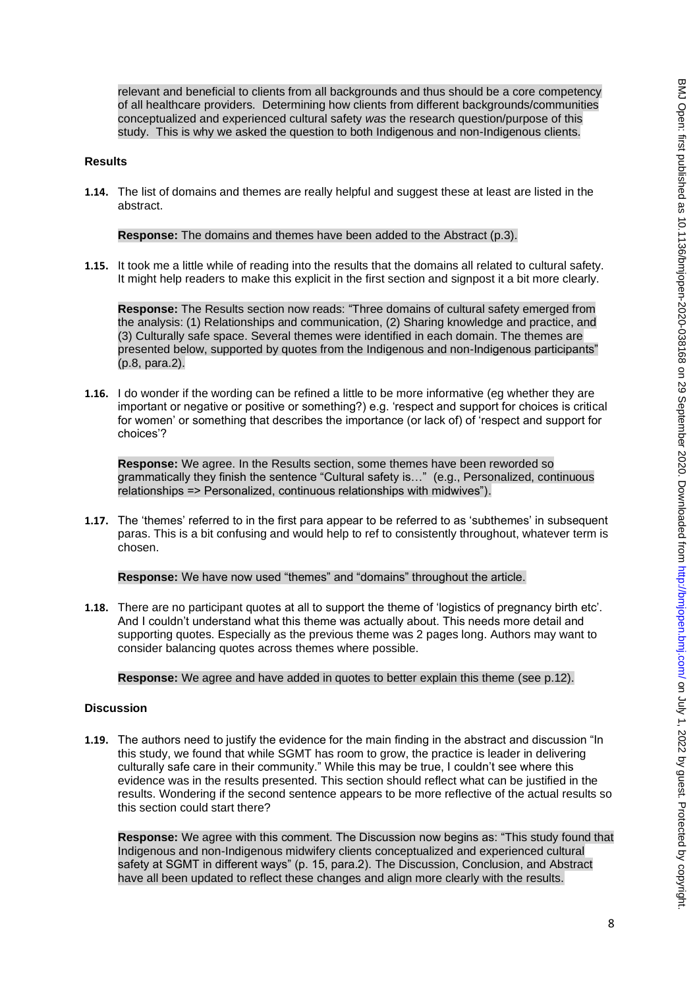relevant and beneficial to clients from all backgrounds and thus should be a core competency of all healthcare providers. Determining how clients from different backgrounds/communities conceptualized and experienced cultural safety *was* the research question/purpose of this study. This is why we asked the question to both Indigenous and non-Indigenous clients.

### **Results**

**1.14.** The list of domains and themes are really helpful and suggest these at least are listed in the abstract.

### **Response:** The domains and themes have been added to the Abstract (p.3).

**1.15.** It took me a little while of reading into the results that the domains all related to cultural safety. It might help readers to make this explicit in the first section and signpost it a bit more clearly.

**Response:** The Results section now reads: "Three domains of cultural safety emerged from the analysis: (1) Relationships and communication, (2) Sharing knowledge and practice, and (3) Culturally safe space. Several themes were identified in each domain. The themes are presented below, supported by quotes from the Indigenous and non-Indigenous participants" (p.8, para.2).

**1.16.** I do wonder if the wording can be refined a little to be more informative (eg whether they are important or negative or positive or something?) e.g. 'respect and support for choices is critical for women' or something that describes the importance (or lack of) of 'respect and support for choices'?

**Response:** We agree. In the Results section, some themes have been reworded so grammatically they finish the sentence "Cultural safety is…" (e.g., Personalized, continuous relationships => Personalized, continuous relationships with midwives").

**1.17.** The 'themes' referred to in the first para appear to be referred to as 'subthemes' in subsequent paras. This is a bit confusing and would help to ref to consistently throughout, whatever term is chosen.

**Response:** We have now used "themes" and "domains" throughout the article.

**1.18.** There are no participant quotes at all to support the theme of 'logistics of pregnancy birth etc'. And I couldn't understand what this theme was actually about. This needs more detail and supporting quotes. Especially as the previous theme was 2 pages long. Authors may want to consider balancing quotes across themes where possible.

**Response:** We agree and have added in quotes to better explain this theme (see p.12).

### **Discussion**

**1.19.** The authors need to justify the evidence for the main finding in the abstract and discussion "In this study, we found that while SGMT has room to grow, the practice is leader in delivering culturally safe care in their community." While this may be true, I couldn't see where this evidence was in the results presented. This section should reflect what can be justified in the results. Wondering if the second sentence appears to be more reflective of the actual results so this section could start there?

**Response:** We agree with this comment. The Discussion now begins as: "This study found that Indigenous and non-Indigenous midwifery clients conceptualized and experienced cultural safety at SGMT in different ways" (p. 15, para.2). The Discussion, Conclusion, and Abstract have all been updated to reflect these changes and align more clearly with the results.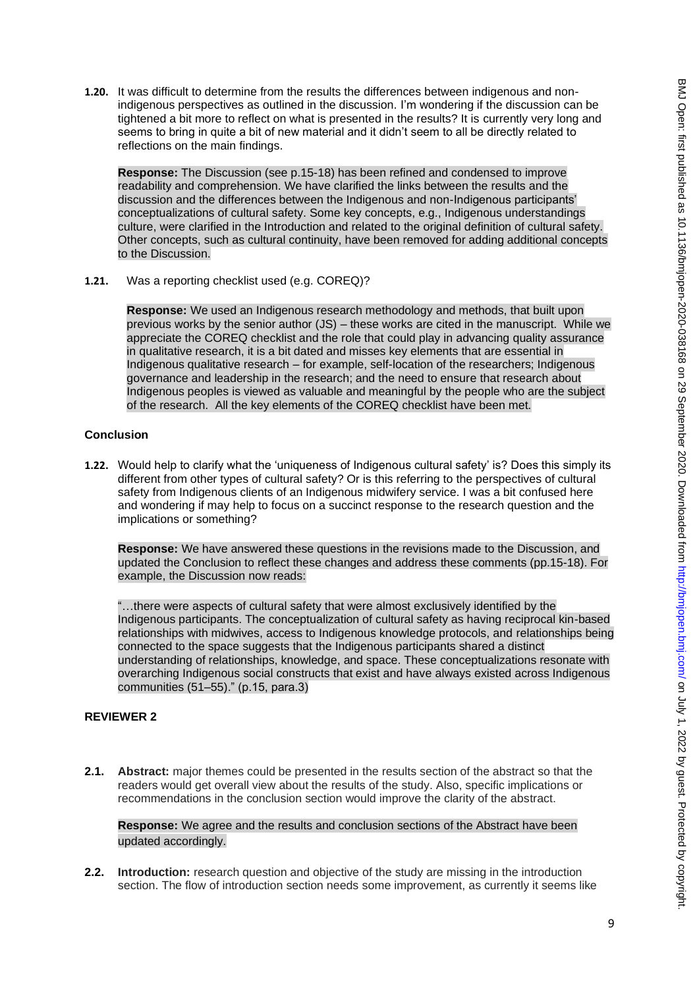**1.20.** It was difficult to determine from the results the differences between indigenous and nonindigenous perspectives as outlined in the discussion. I'm wondering if the discussion can be tightened a bit more to reflect on what is presented in the results? It is currently very long and seems to bring in quite a bit of new material and it didn't seem to all be directly related to reflections on the main findings.

**Response:** The Discussion (see p.15-18) has been refined and condensed to improve readability and comprehension. We have clarified the links between the results and the discussion and the differences between the Indigenous and non-Indigenous participants' conceptualizations of cultural safety. Some key concepts, e.g., Indigenous understandings culture, were clarified in the Introduction and related to the original definition of cultural safety. Other concepts, such as cultural continuity, have been removed for adding additional concepts to the Discussion.

**1.21.** Was a reporting checklist used (e.g. COREQ)?

**Response:** We used an Indigenous research methodology and methods, that built upon previous works by the senior author (JS) – these works are cited in the manuscript. While we appreciate the COREQ checklist and the role that could play in advancing quality assurance in qualitative research, it is a bit dated and misses key elements that are essential in Indigenous qualitative research – for example, self-location of the researchers; Indigenous governance and leadership in the research; and the need to ensure that research about Indigenous peoples is viewed as valuable and meaningful by the people who are the subject of the research. All the key elements of the COREQ checklist have been met.

### **Conclusion**

**1.22.** Would help to clarify what the 'uniqueness of Indigenous cultural safety' is? Does this simply its different from other types of cultural safety? Or is this referring to the perspectives of cultural safety from Indigenous clients of an Indigenous midwifery service. I was a bit confused here and wondering if may help to focus on a succinct response to the research question and the implications or something?

**Response:** We have answered these questions in the revisions made to the Discussion, and updated the Conclusion to reflect these changes and address these comments (pp.15-18). For example, the Discussion now reads:

"…there were aspects of cultural safety that were almost exclusively identified by the Indigenous participants. The conceptualization of cultural safety as having reciprocal kin-based relationships with midwives, access to Indigenous knowledge protocols, and relationships being connected to the space suggests that the Indigenous participants shared a distinct understanding of relationships, knowledge, and space. These conceptualizations resonate with overarching Indigenous social constructs that exist and have always existed across Indigenous communities (51–55)." (p.15, para.3)

# **REVIEWER 2**

**2.1. Abstract:** major themes could be presented in the results section of the abstract so that the readers would get overall view about the results of the study. Also, specific implications or recommendations in the conclusion section would improve the clarity of the abstract.

**Response:** We agree and the results and conclusion sections of the Abstract have been updated accordingly.

**2.2. Introduction:** research question and objective of the study are missing in the introduction section. The flow of introduction section needs some improvement, as currently it seems like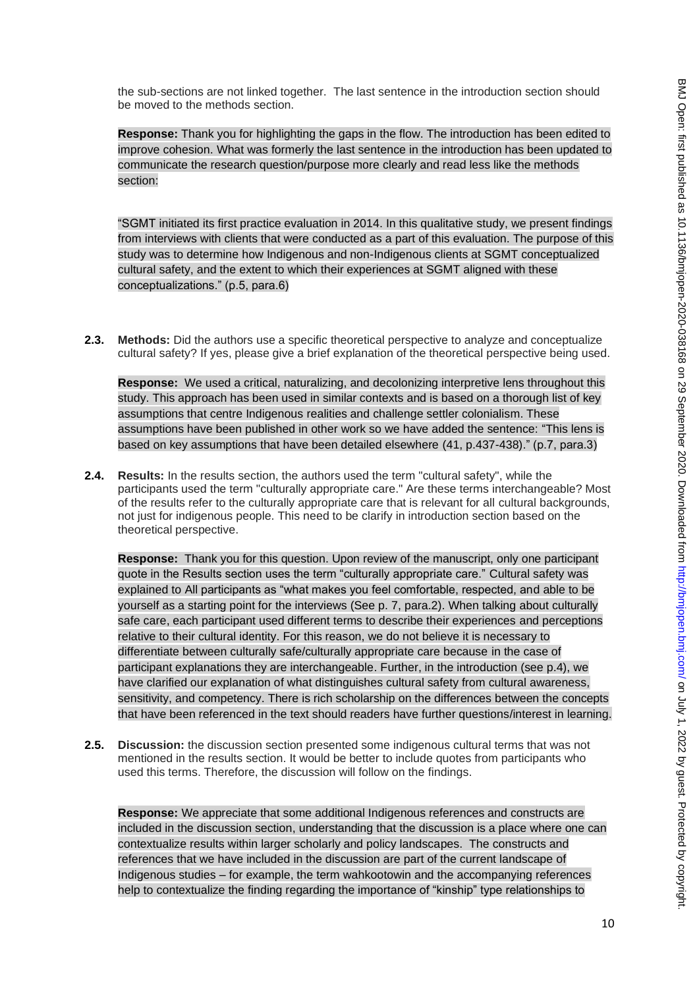the sub-sections are not linked together. The last sentence in the introduction section should be moved to the methods section.

**Response:** Thank you for highlighting the gaps in the flow. The introduction has been edited to improve cohesion. What was formerly the last sentence in the introduction has been updated to communicate the research question/purpose more clearly and read less like the methods section:

"SGMT initiated its first practice evaluation in 2014. In this qualitative study, we present findings from interviews with clients that were conducted as a part of this evaluation. The purpose of this study was to determine how Indigenous and non-Indigenous clients at SGMT conceptualized cultural safety, and the extent to which their experiences at SGMT aligned with these conceptualizations." (p.5, para.6)

**2.3. Methods:** Did the authors use a specific theoretical perspective to analyze and conceptualize cultural safety? If yes, please give a brief explanation of the theoretical perspective being used.

**Response:** We used a critical, naturalizing, and decolonizing interpretive lens throughout this study. This approach has been used in similar contexts and is based on a thorough list of key assumptions that centre Indigenous realities and challenge settler colonialism. These assumptions have been published in other work so we have added the sentence: "This lens is based on key assumptions that have been detailed elsewhere (41, p.437-438)." (p.7, para.3)

**2.4. Results:** In the results section, the authors used the term "cultural safety", while the participants used the term "culturally appropriate care." Are these terms interchangeable? Most of the results refer to the culturally appropriate care that is relevant for all cultural backgrounds, not just for indigenous people. This need to be clarify in introduction section based on the theoretical perspective.

**Response:** Thank you for this question. Upon review of the manuscript, only one participant quote in the Results section uses the term "culturally appropriate care." Cultural safety was explained to All participants as "what makes you feel comfortable, respected, and able to be yourself as a starting point for the interviews (See p. 7, para.2). When talking about culturally safe care, each participant used different terms to describe their experiences and perceptions relative to their cultural identity. For this reason, we do not believe it is necessary to differentiate between culturally safe/culturally appropriate care because in the case of participant explanations they are interchangeable. Further, in the introduction (see p.4), we have clarified our explanation of what distinguishes cultural safety from cultural awareness, sensitivity, and competency. There is rich scholarship on the differences between the concepts that have been referenced in the text should readers have further questions/interest in learning.

**2.5. Discussion:** the discussion section presented some indigenous cultural terms that was not mentioned in the results section. It would be better to include quotes from participants who used this terms. Therefore, the discussion will follow on the findings.

**Response:** We appreciate that some additional Indigenous references and constructs are included in the discussion section, understanding that the discussion is a place where one can contextualize results within larger scholarly and policy landscapes. The constructs and references that we have included in the discussion are part of the current landscape of Indigenous studies – for example, the term wahkootowin and the accompanying references help to contextualize the finding regarding the importance of "kinship" type relationships to